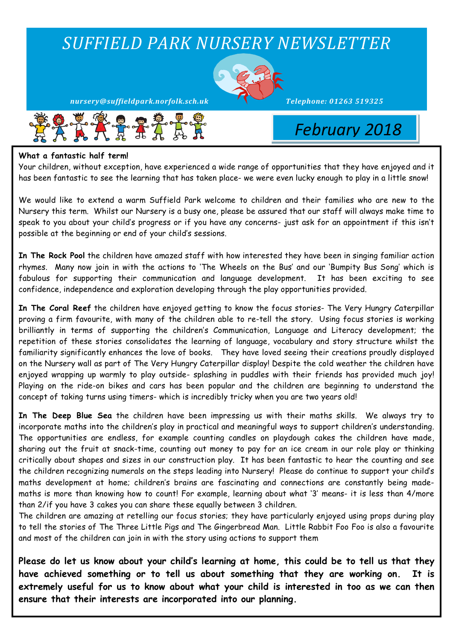# *SUFFIELD PARK NURSERY NEWSLETTER*



*nursery@suffieldpark.norfolk.sch.uk Telephone:* 01263 519325



 *February 2018*

#### **What a fantastic half term!**

Your children, without exception, have experienced a wide range of opportunities that they have enjoyed and it has been fantastic to see the learning that has taken place- we were even lucky enough to play in a little snow!

We would like to extend a warm Suffield Park welcome to children and their families who are new to the Nursery this term. Whilst our Nursery is a busy one, please be assured that our staff will always make time to speak to you about your child's progress or if you have any concerns- just ask for an appointment if this isn't possible at the beginning or end of your child's sessions.

**In The Rock Pool** the children have amazed staff with how interested they have been in singing familiar action rhymes. Many now join in with the actions to 'The Wheels on the Bus' and our 'Bumpity Bus Song' which is fabulous for supporting their communication and language development. It has been exciting to see confidence, independence and exploration developing through the play opportunities provided.

**In The Coral Reef** the children have enjoyed getting to know the focus stories- The Very Hungry Caterpillar proving a firm favourite, with many of the children able to re-tell the story. Using focus stories is working brilliantly in terms of supporting the children's Communication, Language and Literacy development; the repetition of these stories consolidates the learning of language, vocabulary and story structure whilst the familiarity significantly enhances the love of books. They have loved seeing their creations proudly displayed on the Nursery wall as part of The Very Hungry Caterpillar display! Despite the cold weather the children have enjoyed wrapping up warmly to play outside- splashing in puddles with their friends has provided much joy! Playing on the ride-on bikes and cars has been popular and the children are beginning to understand the concept of taking turns using timers- which is incredibly tricky when you are two years old!

**In The Deep Blue Sea** the children have been impressing us with their maths skills. We always try to incorporate maths into the children's play in practical and meaningful ways to support children's understanding. The opportunities are endless, for example counting candles on playdough cakes the children have made, sharing out the fruit at snack-time, counting out money to pay for an ice cream in our role play or thinking critically about shapes and sizes in our construction play. It has been fantastic to hear the counting and see the children recognizing numerals on the steps leading into Nursery! Please do continue to support your child's maths development at home; children's brains are fascinating and connections are constantly being mademaths is more than knowing how to count! For example, learning about what '3' means- it is less than 4/more than 2/if you have 3 cakes you can share these equally between 3 children.

The children are amazing at retelling our focus stories; they have particularly enjoyed using props during play to tell the stories of The Three Little Pigs and The Gingerbread Man. Little Rabbit Foo Foo is also a favourite and most of the children can join in with the story using actions to support them

**Please do let us know about your child's learning at home, this could be to tell us that they have achieved something or to tell us about something that they are working on. It is extremely useful for us to know about what your child is interested in too as we can then ensure that their interests are incorporated into our planning.**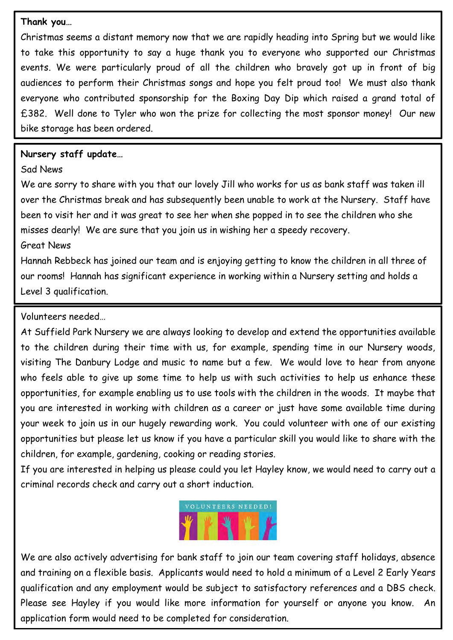### **Thank you…**

Christmas seems a distant memory now that we are rapidly heading into Spring but we would like to take this opportunity to say a huge thank you to everyone who supported our Christmas events. We were particularly proud of all the children who bravely got up in front of big audiences to perform their Christmas songs and hope you felt proud too! We must also thank everyone who contributed sponsorship for the Boxing Day Dip which raised a grand total of £382. Well done to Tyler who won the prize for collecting the most sponsor money! Our new bike storage has been ordered.

## **Nursery staff update…**

# Sad News

We are sorry to share with you that our lovely Jill who works for us as bank staff was taken ill over the Christmas break and has subsequently been unable to work at the Nursery. Staff have been to visit her and it was great to see her when she popped in to see the children who she misses dearly! We are sure that you join us in wishing her a speedy recovery.

# Great News

Hannah Rebbeck has joined our team and is enjoying getting to know the children in all three of our rooms! Hannah has significant experience in working within a Nursery setting and holds a Level 3 qualification.

# Volunteers needed…

At Suffield Park Nursery we are always looking to develop and extend the opportunities available to the children during their time with us, for example, spending time in our Nursery woods, visiting The Danbury Lodge and music to name but a few. We would love to hear from anyone who feels able to give up some time to help us with such activities to help us enhance these opportunities, for example enabling us to use tools with the children in the woods. It maybe that you are interested in working with children as a career or just have some available time during your week to join us in our hugely rewarding work. You could volunteer with one of our existing opportunities but please let us know if you have a particular skill you would like to share with the children, for example, gardening, cooking or reading stories.

If you are interested in helping us please could you let Hayley know, we would need to carry out a criminal records check and carry out a short induction.



We are also actively advertising for bank staff to join our team covering staff holidays, absence and training on a flexible basis. Applicants would need to hold a minimum of a Level 2 Early Years qualification and any employment would be subject to satisfactory references and a DBS check. Please see Hayley if you would like more information for yourself or anyone you know. An application form would need to be completed for consideration.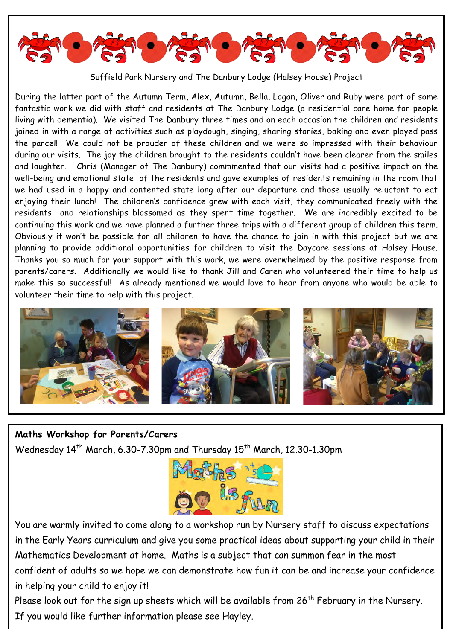

Suffield Park Nursery and The Danbury Lodge (Halsey House) Project

During the latter part of the Autumn Term, Alex, Autumn, Bella, Logan, Oliver and Ruby were part of some fantastic work we did with staff and residents at The Danbury Lodge (a residential care home for people living with dementia). We visited The Danbury three times and on each occasion the children and residents joined in with a range of activities such as playdough, singing, sharing stories, baking and even played pass the parcel! We could not be prouder of these children and we were so impressed with their behaviour during our visits. The joy the children brought to the residents couldn't have been clearer from the smiles and laughter. Chris (Manager of The Danbury) commmented that our visits had a positive impact on the well-being and emotional state of the residents and gave examples of residents remaining in the room that we had used in a happy and contented state long after our departure and those usually reluctant to eat enjoying their lunch! The children's confidence grew with each visit, they communicated freely with the residents and relationships blossomed as they spent time together. We are incredibly excited to be continuing this work and we have planned a further three trips with a different group of children this term. Obviously it won't be possible for all children to have the chance to join in with this project but we are planning to provide additional opportunities for children to visit the Daycare sessions at Halsey House. Thanks you so much for your support with this work, we were overwhelmed by the positive response from parents/carers. Additionally we would like to thank Jill and Caren who volunteered their time to help us make this so successful! As already mentioned we would love to hear from anyone who would be able to volunteer their time to help with this project.



### **Maths Workshop for Parents/Carers**

Wednesday 14<sup>th</sup> March, 6.30-7.30pm and Thursday 15<sup>th</sup> March, 12.30-1.30pm



You are warmly invited to come along to a workshop run by Nursery staff to discuss expectations in the Early Years curriculum and give you some practical ideas about supporting your child in their Mathematics Development at home. Maths is a subject that can summon fear in the most confident of adults so we hope we can demonstrate how fun it can be and increase your confidence in helping your child to enjoy it!

Please look out for the sign up sheets which will be available from  $26<sup>th</sup>$  February in the Nursery. If you would like further information please see Hayley.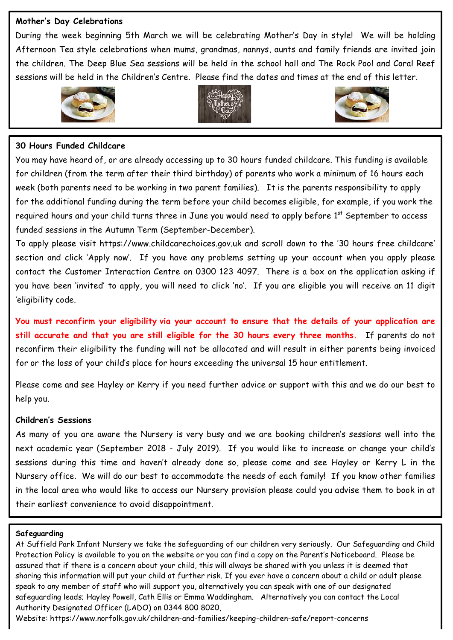### **Mother's Day Celebrations**

During the week beginning 5th March we will be celebrating Mother's Day in style! We will be holding Afternoon Tea style celebrations when mums, grandmas, nannys, aunts and family friends are invited join the children. The Deep Blue Sea sessions will be held in the school hall and The Rock Pool and Coral Reef sessions will be held in the Children's Centre. Please find the dates and times at the end of this letter.







### **30 Hours Funded Childcare**

You may have heard of, or are already accessing up to 30 hours funded childcare. This funding is available for children (from the term after their third birthday) of parents who work a minimum of 16 hours each week (both parents need to be working in two parent families). It is the parents responsibility to apply for the additional funding during the term before your child becomes eligible, for example, if you work the required hours and your child turns three in June you would need to apply before 1<sup>st</sup> September to access funded sessions in the Autumn Term (September-December).

To apply please visit https://www.childcarechoices.gov.uk and scroll down to the '30 hours free childcare' section and click 'Apply now'. If you have any problems setting up your account when you apply please contact the Customer Interaction Centre on 0300 123 4097. There is a box on the application asking if you have been 'invited' to apply, you will need to click 'no'. If you are eligible you will receive an 11 digit 'eligibility code.

**You must reconfirm your eligibility via your account to ensure that the details of your application are still accurate and that you are still eligible for the 30 hours every three months.** If parents do not reconfirm their eligibility the funding will not be allocated and will result in either parents being invoiced for or the loss of your child's place for hours exceeding the universal 15 hour entitlement.

Please come and see Hayley or Kerry if you need further advice or support with this and we do our best to help you.

### **Children's Sessions**

As many of you are aware the Nursery is very busy and we are booking children's sessions well into the next academic year (September 2018 - July 2019). If you would like to increase or change your child's sessions during this time and haven't already done so, please come and see Hayley or Kerry L in the Nursery office. We will do our best to accommodate the needs of each family! If you know other families in the local area who would like to access our Nursery provision please could you advise them to book in at their earliest convenience to avoid disappointment.

#### **Safeguarding**

At Suffield Park Infant Nursery we take the safeguarding of our children very seriously. Our Safeguarding and Child Protection Policy is available to you on the website or you can find a copy on the Parent's Noticeboard. Please be assured that if there is a concern about your child, this will always be shared with you unless it is deemed that sharing this information will put your child at further risk. If you ever have a concern about a child or adult please speak to any member of staff who will support you, alternatively you can speak with one of our designated safeguarding leads; Hayley Powell, Cath Ellis or Emma Waddingham. Alternatively you can contact the Local Authority Designated Officer (LADO) on 0344 800 8020,

Website: https://www.norfolk.gov.uk/children-and-families/keeping-children-safe/report-concerns